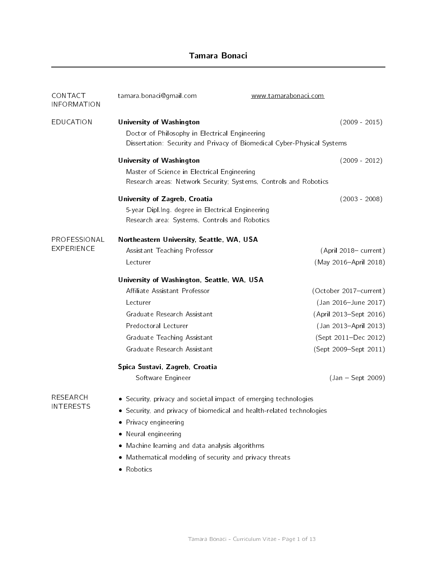# Tamara Bonaci

| CONTACT<br><b>INFORMATION</b> | tamara bonaci@gmail.com                                                 | www.tamarabonaci.com                                             |                        |  |
|-------------------------------|-------------------------------------------------------------------------|------------------------------------------------------------------|------------------------|--|
| <b>EDUCATION</b>              | University of Washington                                                |                                                                  | $(2009 - 2015)$        |  |
|                               | Doctor of Philosophy in Electrical Engineering                          |                                                                  |                        |  |
|                               | Dissertation: Security and Privacy of Biomedical Cyber-Physical Systems |                                                                  |                        |  |
|                               | University of Washington                                                |                                                                  | $(2009 - 2012)$        |  |
|                               | Master of Science in Electrical Engineering                             |                                                                  |                        |  |
|                               |                                                                         | Research areas: Network Security; Systems, Controls and Robotics |                        |  |
|                               | University of Zagreb, Croatia                                           |                                                                  | $(2003 - 2008)$        |  |
|                               | 5-year Dipl.Ing. degree in Electrical Engineering                       |                                                                  |                        |  |
|                               | Research area: Systems, Controls and Robotics                           |                                                                  |                        |  |
| PROFESSIONAL                  | Northeastern University, Seattle, WA, USA                               |                                                                  |                        |  |
| <b>EXPERIENCE</b>             | Assistant Teaching Professor                                            |                                                                  | (April 2018– current)  |  |
|                               | Lecturer                                                                |                                                                  | (May 2016-April 2018)  |  |
|                               | University of Washington, Seattle, WA, USA                              |                                                                  |                        |  |
|                               | Affiliate Assistant Professor                                           |                                                                  | (October 2017-current) |  |
|                               | Lecturer                                                                |                                                                  | (Jan 2016-June 2017)   |  |
|                               | Graduate Research Assistant                                             |                                                                  | (April 2013-Sept 2016) |  |
|                               | Predoctoral Lecturer                                                    |                                                                  | (Jan 2013-April 2013)  |  |
|                               | Graduate Teaching Assistant                                             |                                                                  | (Sept 2011-Dec 2012)   |  |
|                               | Graduate Research Assistant                                             |                                                                  | (Sept 2009–Sept 2011)  |  |
|                               | Spica Sustavi, Zagreb, Croatia                                          |                                                                  |                        |  |
|                               | Software Engineer                                                       |                                                                  | $(Jan - Sept 2009)$    |  |
| RESEARCH                      | • Security, privacy and societal impact of emerging technologies        |                                                                  |                        |  |
| <b>INTERESTS</b>              | Security, and privacy of biomedical and health-related technologies     |                                                                  |                        |  |
|                               | • Privacy engineering                                                   |                                                                  |                        |  |
|                               | Neural engineering<br>$\bullet$                                         |                                                                  |                        |  |
|                               | • Machine learning and data analysis algorithms                         |                                                                  |                        |  |
|                               | Mathematical modeling of security and privacy threats<br>٠              |                                                                  |                        |  |
|                               | • Robotics                                                              |                                                                  |                        |  |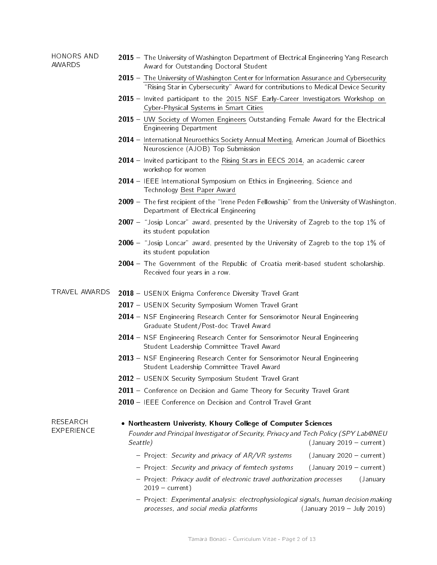#### HONORS AND AWARDS 2015 – The University of Washington Department of Electrical Engineering Yang Research Award for Outstanding Doctoral Student

- $2015 -$  [The University of Washington Center for Information Assurance and Cybersecurity](http://www.washington.edu/research/centers/126) "Rising Star in Cybersecurity" Award for contributions to Medical Device Security
- 2015 Invited participant to the [2015 NSF Early-Career Investigators Workshop on](http://cps-vo.org/group/CPSEarlyCareerInvestigators2015) [Cyber-Physical Systems in Smart Cities](http://cps-vo.org/group/CPSEarlyCareerInvestigators2015)
- 2015 [UW Society of Women Engineers](http://students.washington.edu/swe/) Outstanding Female Award for the Electrical Engineering Department
- 2014 [International Neuroethics Society Annual Meeting,](http://www.neuroethicssociety.org/2014-ins-annual-meeting-schedule) American Journal of Bioethics Neuroscience (AJOB) Top Submission
- 2014 Invited participant to the [Rising Stars in EECS 2014,](http://www.eecs.berkeley.edu/XRG/risingstars/) an academic career workshop for women
- 2014 IEEE International Symposium on Ethics in Engineering, Science and Technology [Best Paper Award](http://sites.ieee.org/ethics-conference/students-ethics-competition/)
- 2009 The first recipient of the "Irene Peden Fellowship" from the University of Washington, Department of Electrical Engineering
- **2007**  $-$  "Josip Loncar" award, presented by the University of Zagreb to the top 1% of its student population
- $2006$  "Josip Loncar" award, presented by the University of Zagreb to the top 1% of its student population
- 2004 The Government of the Republic of Croatia merit-based student scholarship. Received four years in a row.
- TRAVEL AWARDS 2018 USENIX Enigma Conference Diversity Travel Grant
	- 2017 USENIX Security Symposium Women Travel Grant
	- 2014 NSF Engineering Research Center for Sensorimotor Neural Engineering Graduate Student/Post-doc Travel Award
	- 2014 NSF Engineering Research Center for Sensorimotor Neural Engineering Student Leadership Committee Travel Award
	- 2013 NSF Engineering Research Center for Sensorimotor Neural Engineering Student Leadership Committee Travel Award
	- 2012 USENIX Security Symposium Student Travel Grant
	- 2011 Conference on Decision and Game Theory for Security Travel Grant
	- 2010 IEEE Conference on Decision and Control Travel Grant
- RESEARCH EXPERIENCE

# Northeastern Univeristy, Khoury College of Computer Sciences

Founder and Principal Investigator of Security, Privacy and Tech Policy (SPY Lab@NEU Seattle) Seattle Seattle Seattle Seattle Seattle Seattle Seattle Seattle Seattle Seattle Seattle Seattle Seattle

- Project: Security and privacy of AR/VR systems (January 2020 current)
- Project: Security and privacy of femtech systems (January 2019 current)
- Project: Privacy audit of electronic travel authorization processes (January  $2019 - current$ )
- { Project: Experimental analysis: electrophysiological signals, human decision making processes, and social media platforms  $($ January 2019 – July 2019)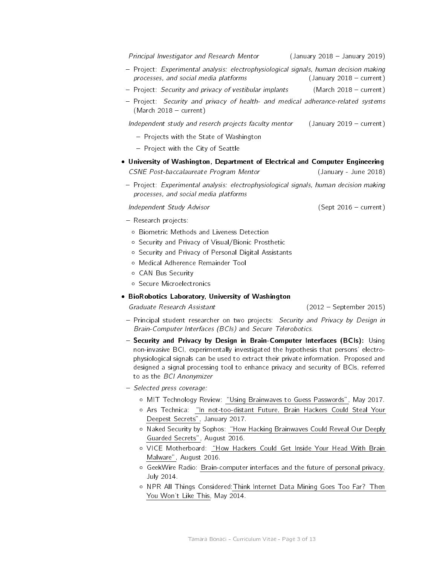- Project: Security and privacy of vestibular implants (March 2018 - current) { Project: Security and privacy of health- and medical adherance-related systems  $(March 2018 - current)$ 

Independent study and reserch projects faculty mentor  $($  January 2019  $-$  current)

Principal Investigator and Research Mentor (January 2018 - January 2019) { Project: Experimental analysis: electrophysiological signals, human decision making  $processes, and social media platforms$  (January 2018 - current)

- { Projects with the State of Washington
- Project with the City of Seattle
- University of Washington, Department of Electrical and Computer Engineering CSNE Post-baccalaureate Program Mentor (January - June 2018)
	- { Project: Experimental analysis: electrophysiological signals, human decision making processes, and social media platforms

Independent Study Advisor (Sept 2016 - current)

- Research projects:
	- Biometric Methods and Liveness Detection
	- Security and Privacy of Visual/Bionic Prosthetic
	- o Security and Privacy of Personal Digital Assistants
	- Medical Adherence Remainder Tool
	- CAN Bus Security
	- Secure Microelectronics
- BioRobotics Laboratory, University of Washington

Graduate Research Assistant (2012 - September 2015)

- Principal student researcher on two projects: Security and Privacy by Design in Brain-Computer Interfaces (BCIs) and Secure Telerobotics.
- Security and Privacy by Design in Brain-Computer Interfaces (BCIs): Using non-invasive BCI, experimentally investigated the hypothesis that persons' electrophysiological signals can be used to extract their private information. Proposed and designed a signal processing tool to enhance privacy and security of BCIs, referred to as the BCI Anonymizer
- Selected press coverage:
	- o MIT Technology Review: "Using Brainwaves to Guess Passwords", May 2017.
	- o Ars Technica: "In not-too-distant Future, Brain Hackers Could Steal Your [Deepest Secrets",](https://arstechnica.com/security/2017/01/in-not-too-distant-future-brain-hackers-could-steal-your-deepest-secrets/) January 2017.
	- o Naked Security by Sophos: "How Hacking Brainwaves Could Reveal Our Deeply [Guarded Secrets",](https://nakedsecurity.sophos.com/2016/08/05/how-hacking-brainwaves-could-reveal-our-deeply-guarded-secrets/) August 2016.
	- o VICE Motherboard: "How Hackers Could Get Inside Your Head With Brain [Malware",](http://motherboard.vice.com/read/how-hackers-could-get-inside-your-head-with-brain-malware) August 2016.
	- GeekWire Radio: [Brain-computer interfaces and the future of personal privacy,](http://www.geekwire.co/2014/geekwire-radio-brain-computer-interfaces-future-personal-privacy/) July 2014.
	- NPR All Things Considered[:Think Internet Data Mining Goes Too Far? Then](http://www.npr.org/blogs/alltechconsidered/2014/05/29/317037186/think-internet-data-mining-goes-too-far-then-you-wont-like-this) [You Won't Like This,](http://www.npr.org/blogs/alltechconsidered/2014/05/29/317037186/think-internet-data-mining-goes-too-far-then-you-wont-like-this) May 2014.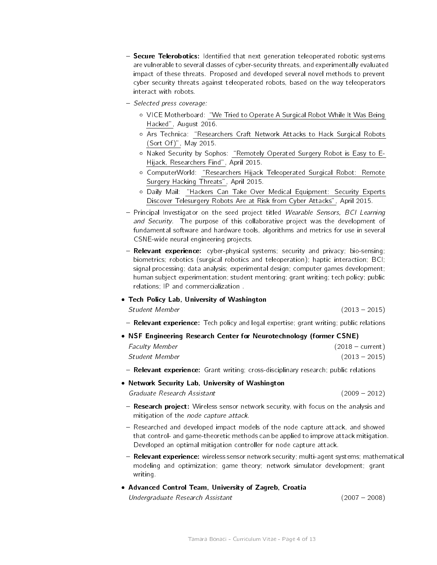- **Secure Telerobotics:** Identified that next generation teleoperated robotic systems are vulnerable to several classes of cyber-security threats, and experimentally evaluated impact of these threats. Proposed and developed several novel methods to prevent cyber security threats against teleoperated robots, based on the way teleoperators interact with robots.
- Selected press coverage:
	- o VICE Motherboard: "We Tried to Operate A Surgical Robot While It Was Being [Hacked",](http://motherboard.vice.com/read/surgery-robot-hacked-raven-ii) August 2016.
	- o Ars Technica: "Researchers Craft Network Attacks to Hack Surgical Robots [\(Sort Of\)",](http://arstechnica.com/security/2015/05/researchers-craft-network-attack-to-hack-surgical-robot-sort-of/) May 2015.
	- o Naked Security by Sophos: "Remotely Operated Surgery Robot is Easy to E-[Hijack, Researchers Find",](https://nakedsecurity.sophos.com/2015/04/29/remotely-operated-surgery-robot-is-easy-to-e-hijack-researchers-find/) April 2015.
	- o ComputerWorld: "Researchers Hijack Teleoperated Surgical Robot: Remote [Surgery Hacking Threats",](http://www.computerworld.com/article/2914741/cybercrime-hacking/researchers-hijack-teleoperated-surgical-robot-remote-surgery-hacking-threats.html) April 2015.
	- o Daily Mail: "Hackers Can Take Over Medical Equipment: Security Experts [Discover Telesurgery Robots Are at Risk from Cyber Attacks",](http://www.dailymail.co.uk/sciencetech/article-3060883/Hackers-MEDICAL-equipment-Security-experts-discover-telesurgery-robots-risk-cyber-attacks.html) April 2015.
- Principal Investigator on the seed project titled Wearable Sensors, BCI Learning and Security. The purpose of this collaborative project was the development of fundamental software and hardware tools, algorithms and metrics for use in several CSNE-wide neural engineering projects.
- Relevant experience: cyber-physical systems; security and privacy; bio-sensing; biometrics; robotics (surgical robotics and teleoperation); haptic interaction; BCI; signal processing; data analysis; experimental design; computer games development; human subject experimentation; student mentoring; grant writing; tech policy; public relations; IP and commercialization .

# Tech Policy Lab, University of Washington

#### Student Member (2013 - 2015)

- Relevant experience: Tech policy and legal expertise; grant writing; public relations
- NSF Engineering Research Center for Neurotechnology (former CSNE)

| <b>Faculty Member</b> | $(2018 - current)$ |
|-----------------------|--------------------|
| Student Member        | $(2013 - 2015)$    |

- Relevant experience: Grant writing; cross-disciplinary research; public relations

# Network Security Lab, University of Washington

Graduate Research Assistant (2009 - 2012)

- **Research project:** Wireless sensor network security, with focus on the analysis and mitigation of the node capture attack.
- Researched and developed impact models of the node capture attack, and showed that control- and game-theoretic methods can be applied to improve attack mitigation. Developed an optimal mitigation controller for node capture attack.
- Relevant experience: wireless sensor network security; multi-agent systems; mathematical modeling and optimization; game theory; network simulator development; grant writing.
- Advanced Control Team, University of Zagreb, Croatia Undergraduate Research Assistant (2007 - 2008)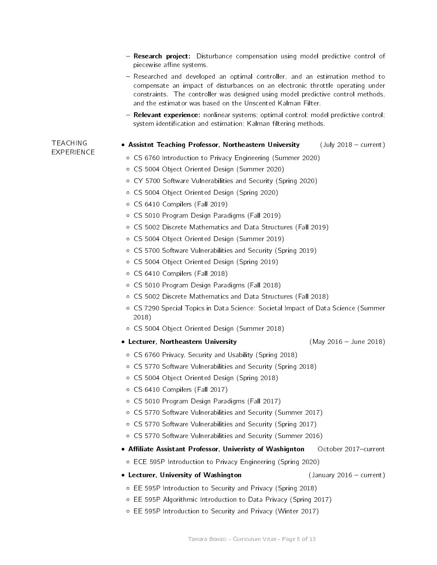- Research project: Disturbance compensation using model predictive control of piecewise affine systems.  $=$  Researched and developed an optimal controller, and an estimation method to compensate an impact of disturbances on an electronic throttle operating under constraints. The controller was designed using model predictive control methods, and the estimator was based on the Unscented Kalman Filter. { Relevant experience: nonlinear systems; optimal control; model predictive control; system identification and estimation; Kalman filtering methods. TEACHING **EXPERIENCE** • Assistnt Teaching Professor, Northeastern University (July 2018 - current) CS 6760 Introduction to Privacy Engineering (Summer 2020) CS 5004 Object Oriented Design (Summer 2020) CY 5700 Software Vulnerabilities and Security (Spring 2020) CS 5004 Object Oriented Design (Spring 2020) CS 6410 Compilers (Fall 2019) CS 5010 Program Design Paradigms (Fall 2019) CS 5002 Discrete Mathematics and Data Structures (Fall 2019) CS 5004 Object Oriented Design (Summer 2019) CS 5700 Software Vulnerabilities and Security (Spring 2019) CS 5004 Object Oriented Design (Spring 2019) CS 6410 Compilers (Fall 2018) CS 5010 Program Design Paradigms (Fall 2018) CS 5002 Discrete Mathematics and Data Structures (Fall 2018) CS 7290 Special Topics in Data Science: Societal Impact of Data Science (Summer 2018) CS 5004 Object Oriented Design (Summer 2018) • Lecturer, Northeastern University **(May 2016 - June 2018)**  CS 6760 Privacy, Security and Usability (Spring 2018) CS 5770 Software Vulnerabilities and Security (Spring 2018) CS 5004 Object Oriented Design (Spring 2018) CS 6410 Compilers (Fall 2017) CS 5010 Program Design Paradigms (Fall 2017) CS 5770 Software Vulnerabilities and Security (Summer 2017) CS 5770 Software Vulnerabilities and Security (Spring 2017) CS 5770 Software Vulnerabilities and Security (Summer 2016) • Affiliate Assistant Professor, Univeristy of Washignton October 2017-current ECE 595P Introduction to Privacy Engineering (Spring 2020) • Lecturer, University of Washington **(January 2016 - current)**  EE 595P Introduction to Security and Privacy (Spring 2018) EE 595P Algorithmic Introduction to Data Privacy (Spring 2017)
	- EE 595P Introduction to Security and Privacy (Winter 2017)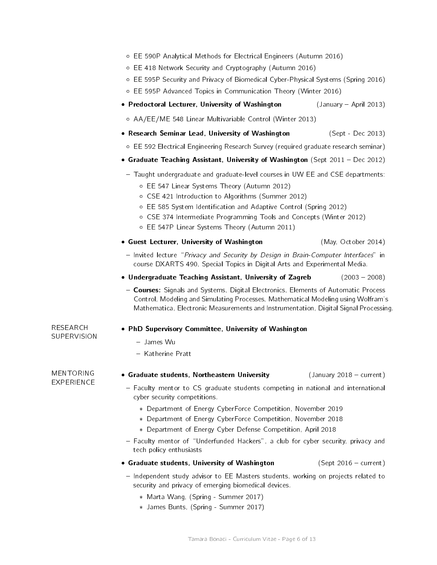- EE 590P Analytical Methods for Electrical Engineers (Autumn 2016)
- EE 418 Network Security and Cryptography (Autumn 2016)
- EE 595P Security and Privacy of Biomedical Cyber-Physical Systems (Spring 2016)
- EE 595P Advanced Topics in Communication Theory (Winter 2016)
- Predoctoral Lecturer, University of Washington  $($  January  $-$  April 2013)
- AA/EE/ME 548 Linear Multivariable Control (Winter 2013)
- Research Seminar Lead, University of Washington (Sept Dec 2013)
	- EE 592 Electrical Engineering Research Survey (required graduate research seminar)
- Graduate Teaching Assistant, University of Washington (Sept 2011 Dec 2012)
	- Taught undergraduate and graduate-level courses in UW EE and CSE departments:
		- EE 547 Linear Systems Theory (Autumn 2012)
		- CSE 421 Introduction to Algorithms (Summer 2012)
		- EE 585 System Identication and Adaptive Control (Spring 2012)
		- CSE 374 Intermediate Programming Tools and Concepts (Winter 2012)
		- EE 547P Linear Systems Theory (Autumn 2011)
- Guest Lecturer, University of Washington (May, October 2014)

- Invited lecture "Privacy and Security by Design in Brain-Computer Interfaces" in course DXARTS 490, Special Topics in Digital Arts and Experimental Media.
- Undergraduate Teaching Assistant, University of Zagreb  $(2003 2008)$
- Courses: Signals and Systems, Digital Electronics, Elements of Automatic Process Control, Modeling and Simulating Processes, Mathematical Modeling using Wolfram's Mathematica, Electronic Measurements and Instrumentation, Digital Signal Processing.

# PhD Supervisory Committee, University of Washington

- { James Wu
- Katherine Pratt

# • Graduate students, Northeastern University  $($  January 2018 - current)

MENTORING EXPERIENCE

RESEARCH **SUPERVISION** 

- Faculty mentor to CS graduate students competing in national and international cyber security competitions.
	- Department of Energy CyberForce Competition, November 2019
	- Department of Energy CyberForce Competition, November 2018
	- Department of Energy Cyber Defense Competition, April 2018
- { Faculty mentor of \Underfunded Hackers", a club for cyber security, privacy and tech policy enthusiasts
- Graduate students, University of Washington  $(S$ ept 2016 current)
- { Independent study advisor to EE Masters students, working on projects related to security and privacy of emerging biomedical devices.
	- Marta Wang, (Spring Summer 2017)
	- James Bunts, (Spring Summer 2017)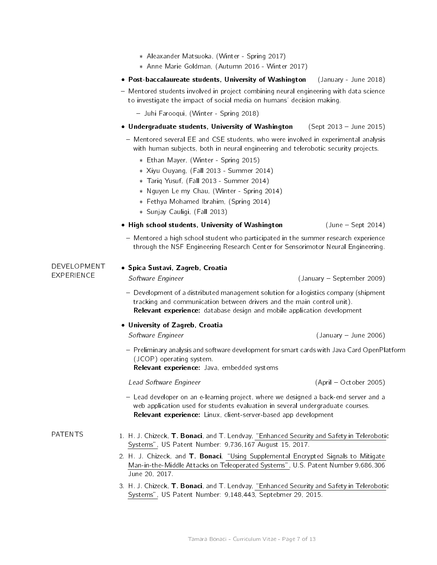- Aleaxander Matsuoka, (Winter Spring 2017)
- Anne Marie Goldman, (Autumn 2016 Winter 2017)
- Post-baccalaureate students, University of Washington (January June 2018)
- Mentored students involved in project combining neural engineering with data science to investigate the impact of social media on humans' decision making.
	- { Juhi Farooqui, (Winter Spring 2018)
- Undergraduate students, University of Washington (Sept 2013 June 2015)
- Mentored several EE and CSE students, who were involved in experimental analysis with human subjects, both in neural engineering and telerobotic security projects.
	- Ethan Mayer, (Winter Spring 2015)
	- Xiyu Ouyang, (Fall 2013 Summer 2014)
	- Tariq Yusuf, (Fall 2013 Summer 2014)
	- Nguyen Le my Chau, (Winter Spring 2014)
	- Fethya Mohamed Ibrahim, (Spring 2014)
	- Sunjay Cauligi, (Fall 2013)
- High school students, University of Washington  $($  June Sept 2014)
- $-$  Mentored a high school student who participated in the summer research experience through the NSF Engineering Research Center for Sensorimotor Neural Engineering.

DEVELOPMENT **EXPERIENCE** 

**• Spica Sustavi, Zagreb, Croatia** 

Software Engineer (January - September 2009)

- ${\sf -}$  Development of a distributed management solution for a logistics company (shipment tracking and communication between drivers and the main control unit). Relevant experience: database design and mobile application development
- University of Zagreb, Croatia

Software Engineer (January - June 2006)

 $=$  Preliminary analysis and software development for smart cards with Java Card OpenPlatform (JCOP) operating system.

Relevant experience: Java, embedded systems

Lead Software Engineer (April - October 2005)

- { Lead developer on an e-learning project, where we designed a back-end server and a web application used for students evaluation in several undergraduate courses. Relevant experience: Linux, client-server-based app development
- PATENTS 1. H. J. Chizeck, **T. Bonaci**, and T. Lendvay, "Enhanced Security and Safety in Telerobotic [Systems",](http://www.google.com/patents/US20140068770) US Patent Number: 9,736,167 August 15, 2017.
	- 2. H. J. Chizeck, and T. Bonaci, "Using Supplemental Encrypted Signals to Mitigate [Man-in-the-Middle Attacks on Teleoperated Systems",](https://www.google.com/patents/WO2014116314A2) U.S. Patent Number 9,686,306 June 20, 2017.
	- 3. H. J. Chizeck, T. Bonaci, and T. Lendvay, "Enhanced Security and Safety in Telerobotic [Systems",](http://www.google.com/patents/US20140068770) US Patent Number: 9,148,443, Septebmer 29, 2015.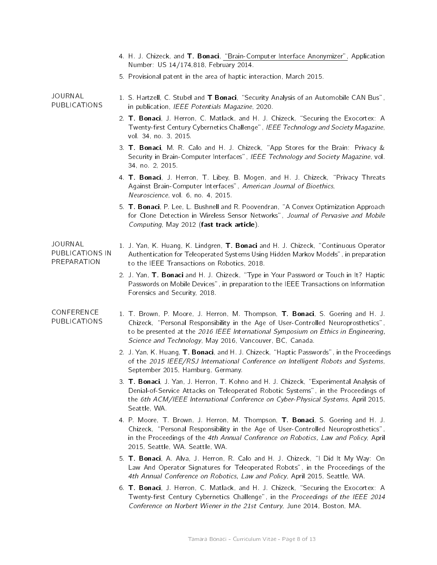|                                                  | 4. H. J. Chizeck, and T. Bonaci, "Brain-Computer Interface Anonymizer", Application<br>Number: US 14/174,818, February 2014.                                                                                                                                                                                           |
|--------------------------------------------------|------------------------------------------------------------------------------------------------------------------------------------------------------------------------------------------------------------------------------------------------------------------------------------------------------------------------|
|                                                  | 5. Provisional patent in the area of haptic interaction, March 2015.                                                                                                                                                                                                                                                   |
| <b>JOURNAL</b><br><b>PUBLICATIONS</b>            | 1. S. Hartzell, C. Stubel and T Bonaci, "Security Analysis of an Automobile CAN Bus",<br>in publication, IEEE Potentials Magazine, 2020.                                                                                                                                                                               |
|                                                  | 2. T. Bonaci, J. Herron, C. Matlack, and H. J. Chizeck, "Securing the Exocortex: A<br>Twenty-first Century Cybernetics Challenge", IEEE Technology and Society Magazine,<br>vol. 34, no. 3, 2015.                                                                                                                      |
|                                                  | 3. T. Bonaci, M. R. Calo and H. J. Chizeck, "App Stores for the Brain: Privacy &<br>Security in Brain-Computer Interfaces", IEEE Technology and Society Magazine, vol.<br>34, no. 2, 2015.                                                                                                                             |
|                                                  | 4. T. Bonaci, J. Herron, T. Libey, B. Mogen, and H. J. Chizeck, "Privacy Threats<br>Against Brain-Computer Interfaces", American Journal of Bioethics,<br>Neuroscience, vol. 6, no. 4, 2015.                                                                                                                           |
|                                                  | 5. T. Bonaci, P. Lee, L. Bushnell and R. Poovendran, "A Convex Optimization Approach<br>for Clone Detection in Wireless Sensor Networks", Journal of Pervasive and Mobile<br>Computing, May 2012 (fast track article).                                                                                                 |
| <b>JOURNAL</b><br>PUBLICATIONS IN<br>PREPARATION | 1. J. Yan, K. Huang, K. Lindgren, T. Bonaci and H. J. Chizeck, "Continuous Operator<br>Authentication for Teleoperated Systems Using Hidden Markov Models", in preparation<br>to the IEEE Transactions on Robotics, 2018.                                                                                              |
|                                                  | 2. J. Yan, T. Bonaci and H. J. Chizeck, "Type in Your Password or Touch in It? Haptic<br>Passwords on Mobile Devices", in preparation to the IEEE Transactions on Information<br>Forensics and Security, 2018.                                                                                                         |
| CONFERENCE<br><b>PUBLICATIONS</b>                | 1. T. Brown, P. Moore, J. Herron, M. Thompson, T. Bonaci, S. Goering and H. J.<br>Chizeck, "Personal Responsibility in the Age of User-Controlled Neuroprosthetics",<br>to be presented at the 2016 IEEE International Symposium on Ethics in Engineering,<br>Science and Technology, May 2016, Vancouver, BC, Canada. |
|                                                  | 2. J. Yan, K. Huang, T. Bonaci, and H. J. Chizeck, "Haptic Passwords", in the Proceedings<br>of the 2015 IEEE/RSJ International Conference on Intelligent Robots and Systems,<br>September 2015, Hamburg, Germany.                                                                                                     |
|                                                  | 3. T. Bonaci, J. Yan, J. Herron, T. Kohno and H. J. Chizeck, "Experimental Analysis of<br>Denial-of-Service Attacks on Teleoperated Robotic Systems", in the Proceedings of<br>the 6th ACM/IEEE International Conference on Cyber-Physical Systems, April 2015,<br>Seattle, WA                                         |
|                                                  | 4. P. Moore, T. Brown, J. Herron, M. Thompson, T. Bonaci, S. Goering and H. J.<br>Chizeck, "Personal Responsibility in the Age of User-Controlled Neuroprosthetics",<br>in the Proceedings of the 4th Annual Conference on Robotics, Law and Policy, April<br>2015, Seattle, WA. Seattle, WA.                          |
|                                                  | 5. T. Bonaci, A. Alva, J. Herron, R. Calo and H. J. Chizeck, "I Did It My Way: On<br>Law And Operator Signatures for Teleoperated Robots", in the Proceedings of the<br>4th Annual Conference on Robotics, Law and Policy, April 2015, Seattle, WA.                                                                    |
|                                                  | 6. T. Bonaci, J. Herron, C. Matlack, and H. J. Chizeck, "Securing the Exocortex: A<br>Twenty-first Century Cybernetics Challenge", in the Proceedings of the IEEE 2014<br>Conference on Norbert Wiener in the 21st Century, June 2014, Boston, MA.                                                                     |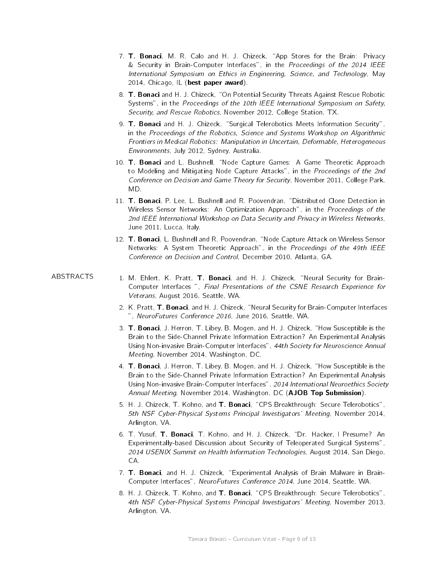- 7. T. Bonaci, M. R. Calo and H. J. Chizeck, "App Stores for the Brain: Privacy & Security in Brain-Computer Interfaces", in the Proceedings of the 2014 IEEE International Symposium on Ethics in Engineering, Science, and Technology, May 2014, Chicago, IL (best paper award).
- 8. T. Bonaci and H. J. Chizeck, "On Potential Security Threats Against Rescue Robotic Systems", in the Proceedings of the 10th IEEE International Symposium on Safety, Security, and Rescue Robotics, November 2012, College Station, TX.
- 9. T. Bonaci and H. J. Chizeck, "Surgical Telerobotics Meets Information Security", in the Proceedings of the Robotics, Science and Systems Workshop on Algorithmic Frontiers in Medical Robotics: Manipulation in Uncertain, Deformable, Heterogeneous Environments, July 2012, Sydney, Australia.
- 10. T. Bonaci and L. Bushnell, "Node Capture Games: A Game Theoretic Approach to Modeling and Mitigating Node Capture Attacks", in the Proceedings of the 2nd Conference on Decision and Game Theory for Security, November 2011, College Park, MD.
- 11. T. Bonaci, P. Lee, L. Bushnell and R. Poovendran, "Distributed Clone Detection in Wireless Sensor Networks: An Optimization Approach", in the Proceedings of the 2nd IEEE International Workshop on Data Security and Privacy in Wireless Networks, June 2011, Lucca, Italy.
- 12. T. Bonaci, L. Bushnell and R. Poovendran, "Node Capture Attack on Wireless Sensor Networks: A System Theoretic Approach", in the Proceedings of the 49th IEEE Conference on Decision and Control, December 2010, Atlanta, GA.

- ABSTRACTS 1. M. Ehlert, K. Pratt, T. Bonaci, and H. J. Chizeck, "Neural Security for Brain-Computer Interfaces ", Final Presentations of the CSNE Research Experience for Veterans, August 2016, Seattle, WA.
	- 2. K. Pratt, T. Bonaci, and H. J. Chizeck, "Neural Security for Brain-Computer Interfaces ", NeuroFutures Conference 2016, June 2016, Seattle, WA.
	- 3. T. Bonaci, J. Herron, T. Libey, B. Mogen, and H. J. Chizeck, "How Susceptible is the Brain to the Side-Channel Private Information Extraction? An Experimental Analysis Using Non-invasive Brain-Computer Interfaces", 44th Society for Neuroscience Annual Meeting, November 2014, Washington, DC.
	- 4. **T. Bonaci**, J. Herron, T. Libey, B. Mogen, and H. J. Chizeck, "How Susceptible is the Brain to the Side-Channel Private Information Extraction? An Experimental Analysis Using Non-invasive Brain-Computer Interfaces", 2014 International Neuroethics Society Annual Meeting, November 2014, Washington, DC (AJOB Top Submission).
	- 5. H. J. Chizeck, T. Kohno, and T. Bonaci, "CPS Breakthrough: Secure Telerobotics", 5th NSF Cyber-Physical Systems Principal Investigators' Meeting, November 2014, Arlington, VA.
	- 6. T. Yusuf, T. Bonaci, T. Kohno, and H. J. Chizeck, "Dr. Hacker, I Presume? An Experimentally-based Discussion about Security of Teleoperated Surgical Systems", 2014 USENIX Summit on Health Information Technologies, August 2014, San Diego, CA.
	- 7. **T. Bonaci**, and H. J. Chizeck, "Experimental Analysis of Brain Malware in Brain-Computer Interfaces", NeuroFutures Conference 2014, June 2014, Seattle, WA.
	- 8. H. J. Chizeck, T. Kohno, and T. Bonaci, "CPS Breakthrough: Secure Telerobotics", 4th NSF Cyber-Physical Systems Principal Investigators' Meeting, November 2013, Arlington, VA.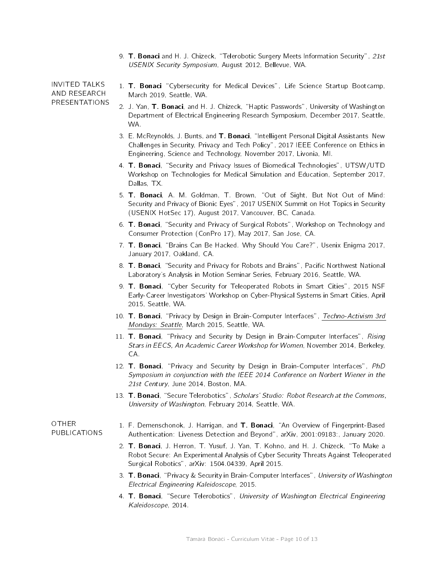9. T. Bonaci and H. J. Chizeck, "Telerobotic Surgery Meets Information Security", 21st USENIX Security Symposium, August 2012, Bellevue, WA.

INVITED TALKS AND RESEARCH PRESENTATIONS

- 1. T. Bonaci "Cybersecurity for Medical Devices", Life Science Startup Bootcamp, March 2019, Seattle, WA.
- 2. J. Yan, T. Bonaci, and H. J. Chizeck, "Haptic Passwords", University of Washington Department of Electrical Engineering Research Symposium, December 2017, Seattle, WA.
- 3. E. McReynolds, J. Bunts, and T. Bonaci, "Intelligent Personal Digital Assistants New Challenges in Security, Privacy and Tech Policy", 2017 IEEE Conference on Ethics in Engineering, Science and Technology, November 2017, Livonia, MI.
- 4. T. Bonaci, "Security and Privacy Issues of Biomedical Technologies", UTSW/UTD Workshop on Technologies for Medical Simulation and Education, September 2017, Dallas, TX.
- 5. T. Bonaci, A. M. Goldman, T. Brown, "Out of Sight, But Not Out of Mind: Security and Privacy of Bionic Eyes", 2017 USENIX Summit on Hot Topics in Security (USENIX HotSec 17), August 2017, Vancouver, BC, Canada.
- 6. T. Bonaci, "Security and Privacy of Surgical Robots", Workshop on Technology and Consumer Protection (ConPro 17), May 2017, San Jose, CA.
- 7. T. Bonaci, "Brains Can Be Hacked. Why Should You Care?", Usenix Enigma 2017, January 2017, Oakland, CA.
- 8. T. Bonaci, "Security and Privacy for Robots and Brains", Pacific Northwest National Laboratory's Analysis in Motion Seminar Series, February 2016, Seattle, WA.
- 9. T. Bonaci, "Cyber Security for Teleoperated Robots in Smart Cities", 2015 NSF Early-Career Investigators' Workshop on Cyber-Physical Systems in Smart Cities, April 2015, Seattle, WA.
- 10. T. Bonaci, "Privacy by Design in Brain-Computer Interfaces", [Techno-Activism 3rd](https://wiki.openitp.org/events:techno-activism_3rd_mondays:seattle) [Mondays: Seattle,](https://wiki.openitp.org/events:techno-activism_3rd_mondays:seattle) March 2015, Seattle, WA.
- 11. T. Bonaci, "Privacy and Security by Design in Brain-Computer Interfaces", Rising Stars in EECS, An Academic Career Workshop for Women, November 2014, Berkeley, CA.
- 12. **T. Bonaci**, "Privacy and Security by Design in Brain-Computer Interfaces", PhD Symposium in conjunction with the IEEE 2014 Conference on Norbert Wiener in the 21st Century, June 2014, Boston, MA.
- 13. T. Bonaci, "Secure Telerobotics", Scholars' Studio: Robot Research at the Commons, University of Washington, February 2014, Seattle, WA.

#### OTHER PUBLICATIONS

- 1. F. Demenschonok, J. Harrigan, and T. Bonaci, "An Overview of Fingerprint-Based Authentication: Liveness Detection and Beyond", arXiv, 2001:09183:, January 2020.
- 2. T. Bonaci, J. Herron, T. Yusuf, J. Yan, T. Kohno, and H. J. Chizeck, "To Make a Robot Secure: An Experimental Analysis of Cyber Security Threats Against Teleoperated Surgical Robotics", arXiv: 1504.04339, April 2015.
- 3. T. Bonaci, "Privacy & Security in Brain-Computer Interfaces", University of Washington Electrical Engineering Kaleidoscope, 2015.
- 4. T. Bonaci, "Secure Telerobotics", University of Washington Electrical Engineering Kaleidoscope, 2014.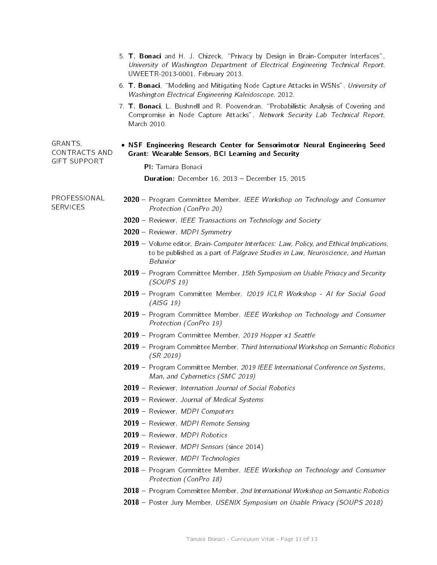|                                          | 5. T. Bonaci and H. J. Chizeck, "Privacy by Design in Brain-Computer Interfaces",<br>University of Washington Department of Electrical Engineering Technical Report,<br>UWEETR-2013-0001, February 2013. |  |
|------------------------------------------|----------------------------------------------------------------------------------------------------------------------------------------------------------------------------------------------------------|--|
|                                          | 6. T. Bonaci, "Modeling and Mitigating Node Capture Attacks in WSNs", University of<br>Washington Electrical Engineering Kaleidoscope, 2012.                                                             |  |
|                                          | 7. T. Bonaci, L. Bushnell and R. Poovendran, "Probabilistic Analysis of Covering and<br>Compromise in Node Capture Attacks", Network Security Lab Technical Report,<br>March 2010.                       |  |
| GRANTS,<br>CONTRACTS AND<br>GIFT SUPPORT | . NSF Engineering Research Center for Sensorimotor Neural Engineering Seed<br><b>Grant: Wearable Sensors, BCI Learning and Security</b>                                                                  |  |
|                                          | PI: Tamara Bonaci                                                                                                                                                                                        |  |
|                                          | Duration: December 16, 2013 - December 15, 2015                                                                                                                                                          |  |
| PROFESSIONAL<br><b>SERVICES</b>          | 2020 - Program Committee Member, IEEE Workshop on Technology and Consumer<br>Protection (ConPro 20)                                                                                                      |  |
|                                          | 2020 - Reviewer, IEEE Transactions on Technology and Society                                                                                                                                             |  |
|                                          | 2020 - Reviewer, MDPI Symmetry                                                                                                                                                                           |  |
|                                          | 2019 - Volume editor, Brain-Computer Interfaces: Law, Policy, and Ethical Implications,<br>to be published as a part of Palgrave Studies in Law, Neuroscience, and Human<br><b>Behavior</b>              |  |
|                                          | 2019 - Program Committee Member, 15th Symposium on Usable Privacy and Security<br>(SOUPS 19)                                                                                                             |  |
|                                          | 2019 - Program Committee Member, I2019 ICLR Workshop - Al for Social Good<br>(AISG 19)                                                                                                                   |  |
|                                          | 2019 - Program Committee Member, IEEE Workshop on Technology and Consumer<br>Protection (ConPro 19)                                                                                                      |  |
|                                          | 2019 - Program Committee Member, 2019 Hopper x1 Seattle                                                                                                                                                  |  |
|                                          | 2019 - Program Committee Member, Third International Workshop on Semantic Robotics<br>(SR 2019)                                                                                                          |  |
|                                          | 2019 - Program Committee Member, 2019 IEEE International Conference on Systems,<br>Man, and Cybernetics (SMC 2019)                                                                                       |  |
|                                          | 2019 – Reviewer, Internation Journal of Social Robotics                                                                                                                                                  |  |
|                                          | 2019 - Reviewer, Journal of Medical Systems                                                                                                                                                              |  |
|                                          | 2019 - Reviewer, MDPI Computers                                                                                                                                                                          |  |
|                                          | 2019 - Reviewer, MDPI Remote Sensing                                                                                                                                                                     |  |
|                                          | 2019 - Reviewer, MDPI Robotics                                                                                                                                                                           |  |
|                                          | 2019 - Reviewer, MDPI Sensors (since 2014)                                                                                                                                                               |  |
|                                          | 2019 - Reviewer, MDPI Technologies                                                                                                                                                                       |  |
|                                          | 2018 – Program Committee Member, IEEE Workshop on Technology and Consumer<br>Protection (ConPro 18)                                                                                                      |  |
|                                          | 2018 – Program Committee Member, 2nd International Workshop on Semantic Robotics                                                                                                                         |  |
|                                          | 2018 - Poster Jury Member, USENIX Symposium on Usable Privacy (SOUPS 2018)                                                                                                                               |  |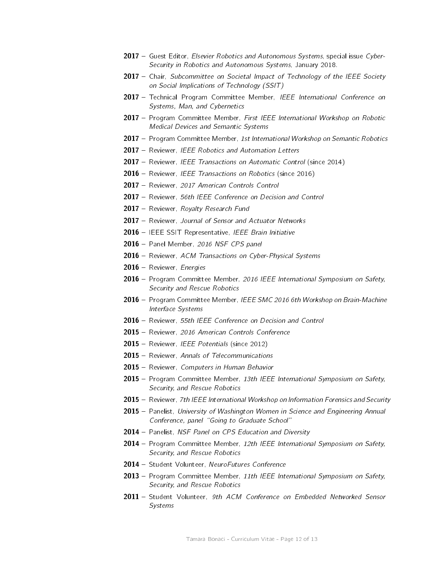- 2017 Guest Editor, *Elsevier Robotics and Autonomous Systems*, special issue Cyber-Security in Robotics and Autonomous Systems, January 2018.
- **2017** Chair, Subcommittee on Societal Impact of Technology of the IEEE Society on Social Implications of Technology (SSIT)
- 2017 Technical Program Committee Member, IEEE International Conference on Systems, Man, and Cybernetics
- 2017 Program Committee Member, First IEEE International Workshop on Robotic Medical Devices and Semantic Systems
- 2017 Program Committee Member, 1st International Workshop on Semantic Robotics
- 2017 Reviewer, IEEE Robotics and Automation Letters
- 2017 Reviewer, IEEE Transactions on Automatic Control (since 2014)
- 2016 Reviewer, IEEE Transactions on Robotics (since 2016)
- 2017 Reviewer, 2017 American Controls Control
- 2017 Reviewer, 56th IEEE Conference on Decision and Control
- 2017 Reviewer, Royalty Research Fund
- 2017 Reviewer, Journal of Sensor and Actuator Networks
- 2016 IEEE SSIT Representative, IEEE Brain Initiative
- 2016 Panel Member, 2016 NSF CPS panel
- 2016 Reviewer, ACM Transactions on Cyber-Physical Systems
- 2016 Reviewer, Energies
- 2016 Program Committee Member, 2016 IEEE International Symposium on Safety, Security and Rescue Robotics
- 2016 Program Committee Member, IEEE SMC 2016 6th Workshop on Brain-Machine Interface Systems
- 2016 Reviewer, 55th IEEE Conference on Decision and Control
- 2015 Reviewer, 2016 American Controls Conference
- 2015 Reviewer, IEEE Potentials (since 2012)
- 2015 Reviewer, Annals of Telecommunications
- 2015 Reviewer, Computers in Human Behavior
- 2015 Program Committee Member, 13th IEEE International Symposium on Safety, Security, and Rescue Robotics
- 2015 Reviewer, 7th IEEE International Workshop on Information Forensics and Security
- 2015 Panelist, University of Washington Women in Science and Engineering Annual Conference, panel "Going to Graduate School"
- 2014 Panelist, NSF Panel on CPS Education and Diversity
- 2014 Program Committee Member, 12th IEEE International Symposium on Safety, Security, and Rescue Robotics
- 2014 Student Volunteer, NeuroFutures Conference
- 2013 Program Committee Member, 11th IEEE International Symposium on Safety, Security, and Rescue Robotics
- 2011 Student Volunteer, 9th ACM Conference on Embedded Networked Sensor Systems